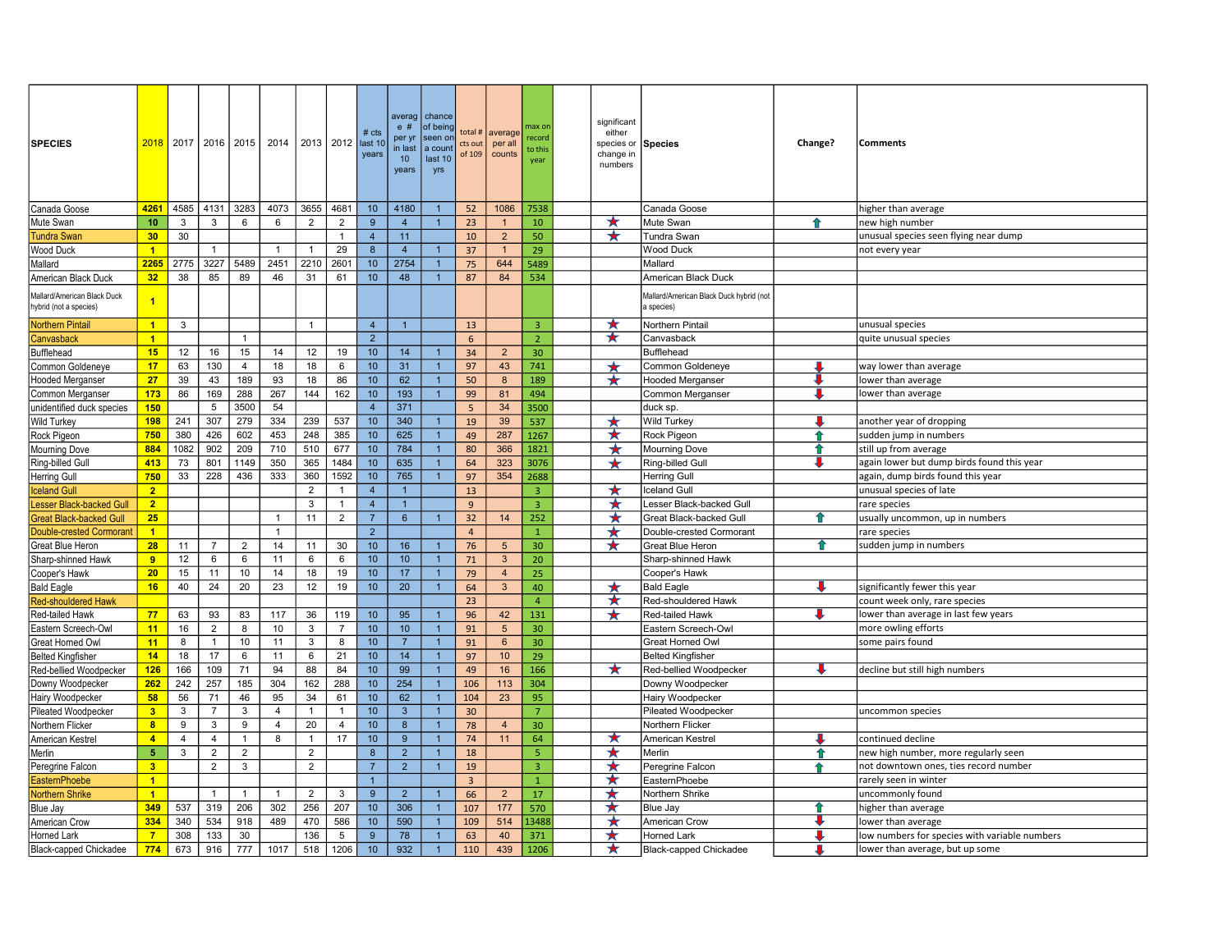| <b>SPECIES</b>                                        | 2018                 |                |                | 2017   2016   2015 | 2014           | 2013 2012 ast 10 |                | $#$ cts<br>years | averag   chance<br>e#<br>per yr<br>in last<br>10<br>years | of being<br>seen on<br>a count<br>last 10<br>yrs | total #<br>cts out<br>of 109 | average<br>per all<br>counts | nax or<br>ecord<br>to this<br>year | significant<br>either<br>species or<br>change in<br>numbers | Species                                               | Change? | <b>Comments</b>                               |
|-------------------------------------------------------|----------------------|----------------|----------------|--------------------|----------------|------------------|----------------|------------------|-----------------------------------------------------------|--------------------------------------------------|------------------------------|------------------------------|------------------------------------|-------------------------------------------------------------|-------------------------------------------------------|---------|-----------------------------------------------|
| Canada Goose                                          | 4261                 | 4585           | 4131           | 3283               | 4073           | 3655             | 4681           | 10 <sub>1</sub>  | 4180                                                      | $\overline{1}$                                   | 52                           | 1086                         | 7538                               |                                                             | Canada Goose                                          |         | nigher than average                           |
| Mute Swan                                             | 10                   | 3              | 3              | 6                  | 6              | $\overline{2}$   | $\overline{2}$ | 9                | $\overline{4}$                                            | $\overline{1}$                                   | 23                           |                              | 10                                 | $\star$                                                     | Mute Swan                                             | ♠       | new high number                               |
| <b>Tundra Swan</b>                                    | 30                   | 30             |                |                    |                |                  | $\overline{1}$ | $\overline{4}$   | 11                                                        |                                                  | 10                           | $\overline{2}$               | 50                                 | $\star$                                                     | Tundra Swan                                           |         | unusual species seen flying near dump         |
| <b>Wood Duck</b>                                      | $\blacktriangleleft$ |                | 1              |                    | -1             |                  | 29             | 8                | $\overline{4}$                                            | $\overline{1}$                                   | 37                           | -1                           | 29                                 |                                                             | <b>Wood Duck</b>                                      |         | not every year                                |
| Mallard                                               | 2265                 | 2775           | 3227           | 5489               | 2451           | 2210             | 2601           | 10 <sup>1</sup>  | 2754                                                      | $\overline{1}$                                   | 75                           | 644                          | 5489                               |                                                             | Mallard                                               |         |                                               |
| American Black Duck                                   | 32                   | 38             | 85             | 89                 | 46             | 31               | 61             | 10 <sup>1</sup>  | 48                                                        | $\overline{1}$                                   | 87                           | 84                           | 534                                |                                                             | American Black Duck                                   |         |                                               |
| Mallard/American Black Duck<br>hybrid (not a species) | $\blacktriangleleft$ |                |                |                    |                |                  |                |                  |                                                           |                                                  |                              |                              |                                    |                                                             | Mallard/American Black Duck hybrid (not<br>a species) |         |                                               |
| <b>Northern Pintail</b>                               | $\blacksquare$       | 3              |                |                    |                | $\overline{1}$   |                | $\overline{4}$   | $\overline{1}$                                            |                                                  | 13                           |                              | $\overline{3}$                     | $\star$                                                     | Northern Pintail                                      |         | unusual species                               |
| Canvasback                                            | $\overline{1}$       |                |                | $\mathbf{1}$       |                |                  |                | $2^{\circ}$      |                                                           |                                                  | 6                            |                              | $\overline{2}$                     | ★                                                           | Canvasback                                            |         | quite unusual species                         |
| Bufflehead                                            | 15                   | 12             | 16             | 15                 | 14             | 12               | 19             | 10               | 14                                                        | $\overline{1}$                                   | 34                           | $\overline{2}$               | 30 <sup>°</sup>                    |                                                             | <b>Bufflehead</b>                                     |         |                                               |
| Common Goldeneye                                      | 17                   | 63             | 130            | $\overline{4}$     | 18             | 18               | 6              | 10               | 31                                                        | $\overline{1}$                                   | 97                           | 43                           | 741                                | $\star$                                                     | Common Goldeneye                                      |         | way lower than average                        |
| Hooded Merganser                                      | 27                   | 39             | 43             | 189                | 93             | 18               | 86             | 10               | 62                                                        | $\overline{1}$                                   | 50                           | 8                            | 189                                | $\star$                                                     | <b>Hooded Merganser</b>                               |         | lower than average                            |
| Common Merganser                                      | 173                  | 86             | 169            | 288                | 267            | 144              | 162            | 10               | 193                                                       | $\mathbf{1}$                                     | 99                           | 81                           | 494                                |                                                             | Common Merganser                                      |         | lower than average                            |
| unidentified duck species                             | 150                  |                | 5              | 3500               | 54             |                  |                | $\overline{4}$   | 371                                                       |                                                  | 5                            | 34                           | 3500                               |                                                             | duck sp.                                              |         |                                               |
| Wild Turkey                                           | <b>198</b>           | 241            | 307            | 279                | 334            | 239              | 537            | 10               | 340                                                       | $\mathbf{1}$                                     | 19                           | 39                           | 537                                | $\star$                                                     | <b>Wild Turkey</b>                                    | J.      | another year of dropping                      |
| Rock Pigeon                                           | 750                  | 380            | 426            | 602                | 453            | 248              | 385            | 10 <sup>1</sup>  | 625                                                       | $\mathbf{1}$                                     | 49                           | 287                          | 1267                               | ★                                                           | Rock Pigeon                                           | ⇑       | sudden jump in numbers                        |
| <b>Mourning Dove</b>                                  | 884                  | 1082           | 902            | 209                | 710            | 510              | 677            | 10               | 784                                                       | $\overline{1}$                                   | 80                           | 366                          | 1821                               | $\star$                                                     | <b>Mourning Dove</b>                                  | ⇑       | still up from average                         |
| Ring-billed Gull                                      | 413                  | 73             | 801            | 1149               | 350            | 365              | 1484           | 10               | 635                                                       | $\mathbf{1}$                                     | 64                           | 323                          | 3076                               | ★                                                           | Ring-billed Gull                                      |         | again lower but dump birds found this year    |
| <b>Herring Gull</b>                                   | 750                  | 33             | 228            | 436                | 333            | 360              | 1592           | 10 <sup>1</sup>  | 765                                                       | $\mathbf{1}$                                     | 97                           | 354                          | 2688                               |                                                             | <b>Herring Gull</b>                                   |         | again, dump birds found this year             |
| <b>Iceland Gull</b>                                   | $\overline{2}$       |                |                |                    |                | $\overline{2}$   | $\overline{1}$ | $\overline{4}$   |                                                           |                                                  | 13                           |                              | $\overline{3}$                     | $\star$                                                     | <b>Iceland Gull</b>                                   |         | unusual species of late                       |
| <b>Lesser Black-backed Gull</b>                       | $\overline{2}$       |                |                |                    |                | 3                | $\overline{1}$ | $\overline{4}$   | $\mathbf{1}$                                              |                                                  | 9                            |                              | $\overline{3}$                     | ★                                                           | Lesser Black-backed Gull                              |         | rare species                                  |
| <b>Great Black-backed Gull</b>                        | 25                   |                |                |                    | -1             | 11               | $\overline{2}$ | $\overline{7}$   | $6\overline{6}$                                           | $\overline{1}$                                   | 32                           | 14                           | 252                                | ★                                                           | Great Black-backed Gull                               |         | usually uncommon, up in numbers               |
| Double-crested Cormorant                              | $\overline{1}$       |                |                |                    | $\mathbf{1}$   |                  |                | $\overline{2}$   |                                                           |                                                  | $\overline{4}$               |                              | $\mathbf{1}$                       | $\star$                                                     | Double-crested Cormorant                              |         | rare species                                  |
| Great Blue Heron                                      | 28                   | 11             | $\overline{7}$ | $\overline{2}$     | 14             | 11               | 30             | 10               | 16                                                        | $\overline{1}$                                   | 76                           | $5\phantom{.0}$              | 30                                 | $\star$                                                     | Great Blue Heron                                      | ⇑       | sudden jump in numbers                        |
| Sharp-shinned Hawk                                    | 9                    | 12             | 6              | 6                  | 11             | 6                | $\,6\,$        | 10               | 10 <sup>°</sup>                                           | $\overline{1}$                                   | 71                           | $\mathbf{3}$                 | 20                                 |                                                             | Sharp-shinned Hawk                                    |         |                                               |
| Cooper's Hawk                                         | 20                   | 15             | 11             | 10                 | 14             | 18               | 19             | 10 <sup>1</sup>  | 17                                                        | $\overline{1}$                                   | 79                           | $\overline{4}$               | 25                                 |                                                             | Cooper's Hawk                                         |         |                                               |
| <b>Bald Eagle</b>                                     | 16                   | 40             | 24             | 20                 | 23             | 12               | 19             | 10               | 20                                                        | $\mathbf{1}$                                     | 64                           | 3                            | 40                                 | $\star$                                                     | <b>Bald Eagle</b>                                     |         | significantly fewer this year                 |
| <b>Red-shouldered Hawk</b>                            |                      |                |                |                    |                |                  |                |                  |                                                           |                                                  | 23                           |                              | $\overline{4}$                     | ★                                                           | Red-shouldered Hawk                                   |         | count week only, rare species                 |
| Red-tailed Hawk                                       | 77                   | 63             | 93             | 83                 | 117            | 36               | 119            | 10 <sup>1</sup>  | 95                                                        | $\overline{1}$                                   | 96                           | 42                           | 131                                | $\star$                                                     | Red-tailed Hawk                                       |         | lower than average in last few years          |
| Eastern Screech-Owl                                   | 11                   | 16             | $\overline{2}$ | 8                  | 10             | 3                | $\overline{7}$ | 10 <sup>1</sup>  | 10                                                        | $\mathbf{1}$                                     | 91                           | 5                            | 30                                 |                                                             | Eastern Screech-Owl                                   |         | more owling efforts                           |
| Great Horned Owl                                      | 11                   | 8              | $\mathbf{1}$   | 10                 | 11             | 3                | 8              | 10               | $\overline{7}$                                            | $\mathbf{1}$                                     | 91                           | 6                            | 30 <sub>2</sub>                    |                                                             | Great Horned Owl                                      |         | some pairs found                              |
| <b>Belted Kingfisher</b>                              | 14                   | 18             | 17             | 6                  | 11             | 6                | 21             | 10 <sup>1</sup>  | 14                                                        | $\overline{1}$                                   | 97                           | 10                           | 29                                 |                                                             | <b>Belted Kingfisher</b>                              |         |                                               |
| Red-bellied Woodpecker                                | 126                  | 166            | 109            | 71                 | 94             | 88               | 84             | 10               | 99                                                        | $\mathbf{1}$                                     | 49                           | 16                           | 166                                | $\star$                                                     | Red-bellied Woodpecker                                |         | decline but still high numbers                |
| Downy Woodpecker                                      | 262                  | 242            | 257            | 185                | 304            | 162              | 288            | 10               | 254                                                       | $\mathbf{1}$                                     | 106                          | 113                          | 304                                |                                                             | Downy Woodpecker                                      |         |                                               |
| Hairy Woodpecker                                      | 58                   | 56             | 71             | 46                 | 95             | 34               | 61             | 10               | 62                                                        | $\overline{1}$                                   | 104                          | 23                           | 95                                 |                                                             | Hairy Woodpecker                                      |         |                                               |
| Pileated Woodpecker                                   | 3                    | 3              | $\overline{7}$ | 3                  | 4              | $\mathbf{1}$     | $\mathbf{1}$   | 10               | $\mathbf{3}$                                              | $\mathbf{1}$                                     | 30                           |                              | $\overline{7}$                     |                                                             | Pileated Woodpecker                                   |         | uncommon species                              |
| Northern Flicker                                      | 8                    | 9              | 3              | 9                  | 4              | 20               | $\overline{4}$ | 10 <sub>1</sub>  | 8                                                         | $\overline{1}$                                   | 78                           | $\overline{4}$               | 30 <sup>°</sup>                    |                                                             | Northern Flicker                                      |         |                                               |
| American Kestrel                                      | $\overline{4}$       | $\overline{4}$ | $\overline{4}$ | $\mathbf{1}$       | 8              | $\mathbf{1}$     | 17             | 10               | $9\,$                                                     | $\overline{1}$                                   | 74                           | 11                           | 64                                 | ★                                                           | American Kestrel                                      |         | continued decline                             |
| Merlin                                                | $5\phantom{.0}$      | 3              | $\overline{2}$ | $\overline{2}$     |                | $\overline{2}$   |                | $\boldsymbol{8}$ | $\overline{2}$                                            | $\mathbf{1}$                                     | 18                           |                              | 5 <sup>°</sup>                     | ★                                                           | Merlin                                                | 介       | new high number, more regularly seen          |
| Peregrine Falcon                                      | 3                    |                | $\overline{2}$ | 3                  |                | $\overline{2}$   |                | $\overline{7}$   | 2 <sup>2</sup>                                            | $\overline{1}$                                   | 19                           |                              | $\overline{3}$                     | $\star$                                                     | Peregrine Falcon                                      | ♠       | not downtown ones, ties record number         |
| <b>EasternPhoebe</b>                                  | $\blacksquare$       |                |                |                    |                |                  |                | $\overline{1}$   |                                                           |                                                  | $\overline{3}$               |                              | $\mathbf{1}$                       | ★                                                           | EasternPhoebe                                         |         | rarely seen in winter                         |
| <b>Northern Shrike</b>                                | $\overline{1}$       |                | $\overline{1}$ | $\overline{1}$     | $\overline{1}$ | $\overline{2}$   | 3              | $\boldsymbol{9}$ | $\overline{2}$                                            | $\overline{1}$                                   | 66                           | $\overline{2}$               | 17                                 | $\bigstar$                                                  | Northern Shrike                                       |         | uncommonly found                              |
| Blue Jay                                              | 349                  | 537            | 319            | 206                | 302            | 256              | 207            | 10 <sup>°</sup>  | 306                                                       | $\mathbf{1}$                                     | 107                          | 177                          | 570                                | $\star$                                                     | Blue Jay                                              | €       | nigher than average                           |
| American Crow                                         | 334                  | 340            | 534            | 918                | 489            | 470              | 586            | 10 <sup>1</sup>  | 590                                                       | $\overline{1}$                                   | 109                          | 514                          | 13488                              | $\star$                                                     | <b>American Crow</b>                                  |         | lower than average                            |
| Horned Lark                                           | $\overline{7}$       | 308            | 133            | 30                 |                | 136              | $\sqrt{5}$     | 9                | 78                                                        | $\overline{1}$                                   | 63                           | 40                           | 371                                | $\star$                                                     | <b>Horned Lark</b>                                    | υ       | low numbers for species with variable numbers |
| Black-capped Chickadee                                | 774                  | 673            | 916            | 777                | 1017           | 518              | 1206           | 10               | 932                                                       | $\mathbf{1}$                                     | 110                          | 439                          | 1206                               | ★                                                           | <b>Black-capped Chickadee</b>                         |         | lower than average, but up some               |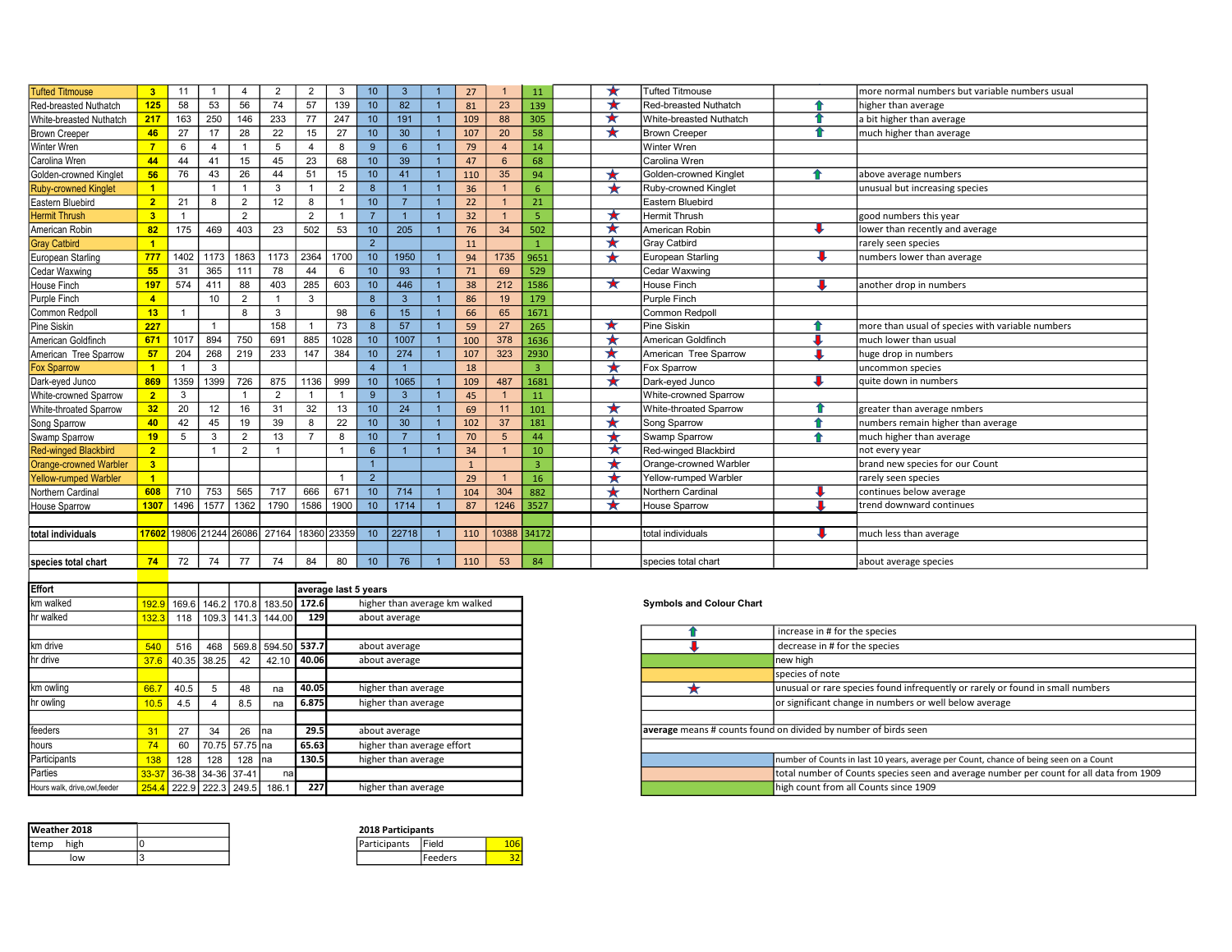| <b>Tufted Titmouse</b>        | 3 <sup>1</sup> | 11             | $\mathbf{1}$   | $\overline{4}$ | $\overline{2}$          | $\overline{2}$ | 3              | 10 <sup>°</sup> | 3            | 27           |             | 11             |         | <b>Tufted Titmouse</b>      |   | more normal numbers but variable numbers usual   |
|-------------------------------|----------------|----------------|----------------|----------------|-------------------------|----------------|----------------|-----------------|--------------|--------------|-------------|----------------|---------|-----------------------------|---|--------------------------------------------------|
| Red-breasted Nuthatch         | 125            | 58             | 53             | 56             | 74                      | 57             | 139            | 10 <sup>1</sup> | 82           | 81           | 23          | 139            |         | Red-breasted Nuthatch       |   | higher than average                              |
| White-breasted Nuthatch       | 217            | 163            | 250            | 146            | 233                     | 77             | 247            | 10              | 191          | 109          | 88          | 305            |         | White-breasted Nuthatch     |   | a bit higher than average                        |
| <b>Brown Creeper</b>          | 46             | 27             | 17             | 28             | 22                      | 15             | 27             | 10              | 30           | 107          | 20          | 58             |         | <b>Brown Creeper</b>        |   | much higher than average                         |
| Winter Wren                   | $\overline{7}$ | 6              | $\overline{4}$ |                | 5                       |                | 8              | 9               | 6            | 79           |             | 14             |         | <b>Winter Wren</b>          |   |                                                  |
| Carolina Wren                 | 44             | 44             | 41             | 15             | 45                      | 23             | 68             | 10              | 39           | 47           |             | 68             |         | Carolina Wren               |   |                                                  |
| Golden-crowned Kinglet        | 56             | 76             | 43             | 26             | 44                      | 51             | 15             | 10 <sup>1</sup> | 41           | 110          | 35          | 94             |         | Golden-crowned Kinglet      | ♠ | above average numbers                            |
| <b>Ruby-crowned Kinglet</b>   | $\blacksquare$ |                |                |                | 3                       |                | $\overline{2}$ | 8               |              | 36           |             | 6              |         | <b>Ruby-crowned Kinglet</b> |   | unusual but increasing species                   |
| Eastern Bluebird              | 2 <sub>1</sub> | 21             | 8              | $\overline{2}$ | 12                      | 8              |                | 10              |              | 22           |             | 21             |         | Eastern Bluebird            |   |                                                  |
| <b>Hermit Thrush</b>          | 3 <sup>2</sup> | $\overline{1}$ |                | 2              |                         | $\overline{2}$ |                | $\overline{7}$  |              | 32           |             | 5              | ★       | <b>Hermit Thrush</b>        |   | good numbers this year                           |
| American Robin                | 82             | 175            | 469            | 403            | 23                      | 502            | 53             | 10              | 205          | 76           | 34          | 502            | ★       | American Robin              |   | lower than recently and average                  |
| <b>Gray Catbird</b>           |                |                |                |                |                         |                |                | 2               |              | 11           |             |                |         | <b>Gray Catbird</b>         |   | rarely seen species                              |
| European Starling             | 777            | 1402           | 1173           | 1863           | 1173                    | 2364           | 1700           | 10              | 1950         | 94           | 1735        | 9651           |         | European Starling           |   | numbers lower than average                       |
| Cedar Waxwing                 | 55             | 31             | 365            | 111            | 78                      | 44             | 6              | 10              | 93           | 71           | 69          | 529            |         | <b>Cedar Waxwing</b>        |   |                                                  |
| House Finch                   | 197            | 574            | 411            | 88             | 403                     | 285            | 603            | 10              | 446          | 38           | 212         | 1586           | $\star$ | <b>House Finch</b>          |   | another drop in numbers                          |
| Purple Finch                  | $\overline{4}$ |                | 10             | $\overline{2}$ |                         | 3              |                | 8               | $\mathbf{3}$ | 86           | 19          | 179            |         | Purple Finch                |   |                                                  |
| Common Redpoll                | 13             |                |                | 8              | 3                       |                | 98             | 6               | 15           | 66           | 65          | 1671           |         | Common Redpoll              |   |                                                  |
| Pine Siskin                   | 227            |                | $\mathbf{1}$   |                | 158                     |                | 73             | 8               | 57           | 59           | 27          | 265            | $\star$ | Pine Siskin                 |   | more than usual of species with variable numbers |
| American Goldfinch            | 671            | 1017           | 894            | 750            | 691                     | 885            | 1028           | 10              | 1007         | 100          | 378         | 1636           |         | American Goldfinch          |   | much lower than usual                            |
| American Tree Sparrow         | 57             | 204            | 268            | 219            | 233                     | 147            | 384            | 10              | 274          | 107          | 323         | 2930           |         | American Tree Sparrow       |   | huge drop in numbers                             |
| <b>Fox Sparrow</b>            |                |                | 3              |                |                         |                |                |                 |              | 18           |             | $\overline{3}$ | ★       | Fox Sparrow                 |   | uncommon species                                 |
| Dark-eyed Junco               | 869            | 1359           | 1399           | 726            | 875                     | 1136           | 999            | 10              | 1065         | 109          | 487         | 1681           | ¥       | Dark-eved Junco             |   | lauite down in numbers                           |
| White-crowned Sparrow         | $\overline{2}$ | 3              |                |                | $\overline{2}$          |                |                | 9               | $\mathbf{3}$ | 45           |             | 11             |         | White-crowned Sparrow       |   |                                                  |
| White-throated Sparrow        | 32             | 20             | 12             | 16             | 31                      | 32             | 13             | 10              | 24           | 69           | 11          | 101            | ★       | White-throated Sparrow      |   | greater than average nmbers                      |
| Song Sparrow                  | 40             | 42             | 45             | 19             | 39                      | 8              | 22             | 10              | 30           | 102          | 37          | 181            |         | Song Sparrow                | ⇑ | numbers remain higher than average               |
| Swamp Sparrow                 | 19             | 5              | 3              | 2              | 13                      | $\overline{7}$ | 8              | 10              |              | 70           | 5           | 44             |         | Swamp Sparrow               |   | much higher than average                         |
| <b>Red-winged Blackbird</b>   | 2 <sup>1</sup> |                |                | 2              |                         |                |                | 6               |              | 34           |             | 10             | ★       | Red-winged Blackbird        |   | not every year                                   |
| <b>Orange-crowned Warbler</b> | 3 <sup>2</sup> |                |                |                |                         |                |                | $\overline{1}$  |              | $\mathbf{1}$ |             | R              |         | Orange-crowned Warbler      |   | brand new species for our Count                  |
| <b>Yellow-rumped Warbler</b>  | $\blacksquare$ |                |                |                |                         |                |                | 2               |              | 29           |             | 16             |         | Yellow-rumped Warbler       |   | rarely seen species                              |
| Northern Cardinal             | 608            | 710            | 753            | 565            | 717                     | 666            | 671            | 10              | 714          | 104          | 304         | 882            |         | Northern Cardinal           |   | continues below average                          |
| House Sparrow                 | 1307           | 1496           | 1577           | 1362           | 1790                    | 1586           | 1900           | 10              | 1714         | 87           | 1246        | 3527           | ★       | <b>House Sparrow</b>        |   | trend downward continues                         |
|                               |                |                |                |                |                         |                |                |                 |              |              |             |                |         |                             |   |                                                  |
| total individuals             | 17602          |                |                |                | 19806 21244 26086 27164 |                | 18360 23359    | 10              | 22718        | 110          | 10388 34172 |                |         | total individuals           |   | much less than average                           |
|                               |                |                |                |                |                         |                |                |                 |              |              |             |                |         |                             |   |                                                  |
| species total chart           | 74             | 72             | 74             | 77             | 74                      | 84             | 80             | 10 <sup>°</sup> | 76           | 110          | 53          | 84             |         | species total chart         |   | about average species                            |

| <b>Effort</b>                  |       |             |     |                       |                        |                                | average last 5 years          |
|--------------------------------|-------|-------------|-----|-----------------------|------------------------|--------------------------------|-------------------------------|
| km walked                      | 192.9 |             |     |                       |                        | 169.6 146.2 170.8 183.50 172.6 | higher than average km walked |
| hr walked                      | 132.3 |             |     |                       | 118 109.3 141.3 144.00 | 129                            | about average                 |
|                                |       |             |     |                       |                        |                                |                               |
| km drive                       | 540   | 516         |     |                       |                        | 468 569.8 594.50 537.7         | about average                 |
| hr drive                       | 37.6  | 40.35 38.25 |     | 42                    | 42.10                  | 40.06                          | about average                 |
|                                |       |             |     |                       |                        |                                |                               |
| km owling                      | 66.   | 40.5        |     | 48                    | na                     | 40.05                          | higher than average           |
| hr owling                      | 10.5  | 4.5         |     | 8.5                   | na                     | 6.875                          | higher than average           |
|                                |       |             |     |                       |                        |                                |                               |
| feeders                        |       | 27          | 34  | 26                    | <b>Ina</b>             | 29.5                           | about average                 |
| hours                          |       | 60          |     | 70.75   57.75   na    |                        | 65.63                          | higher than average effort    |
| Participants                   | 138   | 128         | 128 | 128 Ina               |                        | 130.5                          | higher than average           |
| Parties                        |       |             |     | 36-38   34-36   37-41 |                        | nal                            |                               |
| Hours walk, drive, owl, feeder | 254.4 |             |     | 222.9 222.3 249.5     | 186.1                  | 227                            | higher than average           |

| <b>I</b> Weather 2018 | <b>2018 Participants</b> |              |    |
|-----------------------|--------------------------|--------------|----|
| high<br>Itemp         | <b>Participants</b>      | <b>Field</b> | 06 |
| low                   |                          | Feeders      | эΖ |

| 2018 Participants |                 |  |  |  |  |  |  |  |  |  |
|-------------------|-----------------|--|--|--|--|--|--|--|--|--|
| Participants      | Field           |  |  |  |  |  |  |  |  |  |
|                   | <b>IFeeders</b> |  |  |  |  |  |  |  |  |  |

## Symbols and Colour Chart

|                              |       |                         |     |                 |                                        |             |                            | increase in # for the species                                                           |  |  |  |
|------------------------------|-------|-------------------------|-----|-----------------|----------------------------------------|-------------|----------------------------|-----------------------------------------------------------------------------------------|--|--|--|
| km drive                     | 540   | 516                     |     |                 | 468 569.8 594.50 537.7                 |             | about average              | decrease in # for the species                                                           |  |  |  |
| hr drive                     |       | $37.6$ 40.35 38.25      |     | 42              | $42.10$ 40.06                          |             | about average              | new high                                                                                |  |  |  |
|                              |       |                         |     |                 |                                        |             |                            | species of note                                                                         |  |  |  |
| km owling                    | 66.7  | 40.5                    |     | 48              |                                        | 40.05       | higher than average        | unusual or rare species found infrequently or rarely or found in small numbers          |  |  |  |
| hr owlina                    |       | 4.5                     |     | 8.5             |                                        | 6.875       | higher than average        | or significant change in numbers or well below average                                  |  |  |  |
|                              |       |                         |     |                 |                                        |             |                            |                                                                                         |  |  |  |
| feeders                      |       | 27                      | 34  | 26              | <b>Ina</b>                             | <b>29.5</b> | about average              | average means # counts found on divided by number of birds seen                         |  |  |  |
| hours                        |       | 60                      |     | 70.75 57.75 Ina |                                        | 65.63       | higher than average effort |                                                                                         |  |  |  |
| <b>Participants</b>          |       | 128                     | 128 | 128 Ina         |                                        | 130.5       | higher than average        | number of Counts in last 10 years, average per Count, chance of being seen on a Count   |  |  |  |
| Parties                      |       | 33-37 36-38 34-36 37-41 |     |                 | nal                                    |             |                            | total number of Counts species seen and average number per count for all data from 1909 |  |  |  |
| Hours walk, drive,owl,feeder | 254.4 |                         |     |                 | <mark>4</mark> 222.9 222.3 249.5 186.1 | 2271        | higher than average        | high count from all Counts since 1909                                                   |  |  |  |
|                              |       |                         |     |                 |                                        |             |                            |                                                                                         |  |  |  |